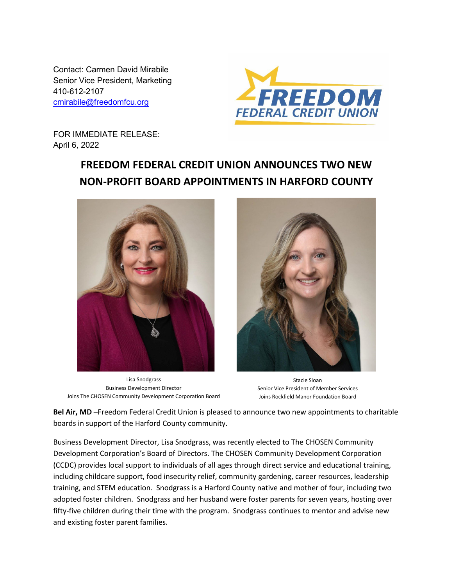Contact: Carmen David Mirabile Senior Vice President, Marketing 410-612-2107 [cmirabile@freedomfcu.org](mailto:cmirabile@freedomfcu.org)



FOR IMMEDIATE RELEASE: April 6, 2022

## **FREEDOM FEDERAL CREDIT UNION ANNOUNCES TWO NEW NON-PROFIT BOARD APPOINTMENTS IN HARFORD COUNTY**



Lisa Snodgrass Business Development Director Joins The CHOSEN Community Development Corporation Board



Stacie Sloan Senior Vice President of Member Services Joins Rockfield Manor Foundation Board

**Bel Air, MD** –Freedom Federal Credit Union is pleased to announce two new appointments to charitable boards in support of the Harford County community.

Business Development Director, Lisa Snodgrass, was recently elected to The CHOSEN Community Development Corporation's Board of Directors. The CHOSEN Community Development Corporation (CCDC) provides local support to individuals of all ages through direct service and educational training, including childcare support, food insecurity relief, community gardening, career resources, leadership training, and STEM education. Snodgrass is a Harford County native and mother of four, including two adopted foster children. Snodgrass and her husband were foster parents for seven years, hosting over fifty-five children during their time with the program. Snodgrass continues to mentor and advise new and existing foster parent families.